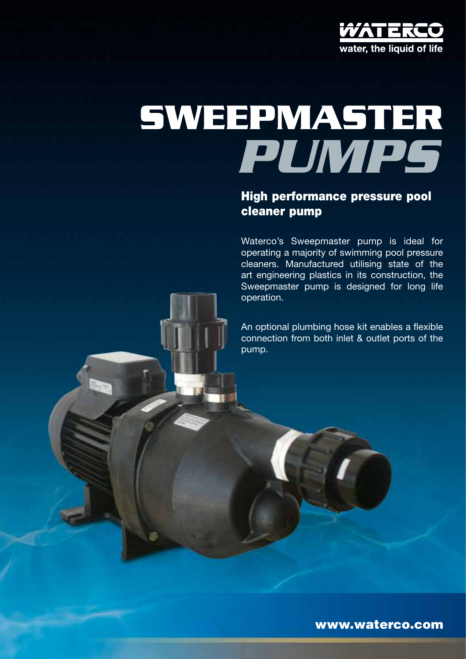

# *pumps* **sweepmaster**

## High performance pressure pool cleaner pump

Waterco's Sweepmaster pump is ideal for operating a majority of swimming pool pressure cleaners. Manufactured utilising state of the art engineering plastics in its construction, the Sweepmaster pump is designed for long life operation.

An optional plumbing hose kit enables a flexible connection from both inlet & outlet ports of the pump.

www.waterco.com